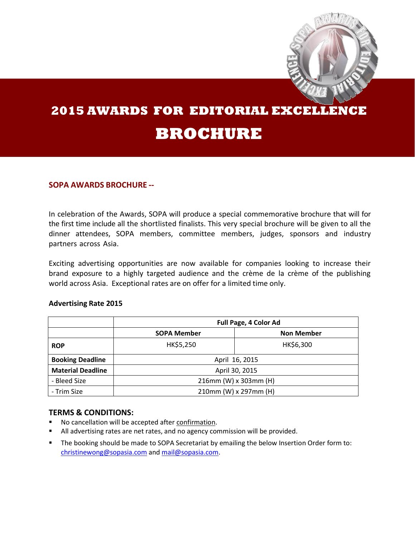

# **2015 AWARDS FOR EDITORIAL EXCELLENCE BROCHURE**

### **SOPA AWARDS BROCHURE --**

In celebration of the Awards, SOPA will produce a special commemorative brochure that will for the first time include all the shortlisted finalists. This very special brochure will be given to all the dinner attendees, SOPA members, committee members, judges, sponsors and industry partners across Asia.

Exciting advertising opportunities are now available for companies looking to increase their brand exposure to a highly targeted audience and the crème de la crème of the publishing world across Asia. Exceptional rates are on offer for a limited time only.

#### **Advertising Rate 2015**

|                          | Full Page, 4 Color Ad |                   |  |
|--------------------------|-----------------------|-------------------|--|
|                          | <b>SOPA Member</b>    | <b>Non Member</b> |  |
| <b>ROP</b>               | HK\$5,250             | HK\$6,300         |  |
| <b>Booking Deadline</b>  | April 16, 2015        |                   |  |
| <b>Material Deadline</b> | April 30, 2015        |                   |  |
| - Bleed Size             | 216mm (W) x 303mm (H) |                   |  |
| - Trim Size              | 210mm (W) x 297mm (H) |                   |  |

#### **TERMS & CONDITIONS:**

- No cancellation will be accepted after confirmation.
- All advertising rates are net rates, and no agency commission will be provided.
- **The booking should be made to SOPA Secretariat by emailing the below Insertion Order form to:** [christinewong@sopasia.com](mailto:christinewong@sopasia.com) an[d mail@sopasia.com.](mailto:mail@sopasia.com)